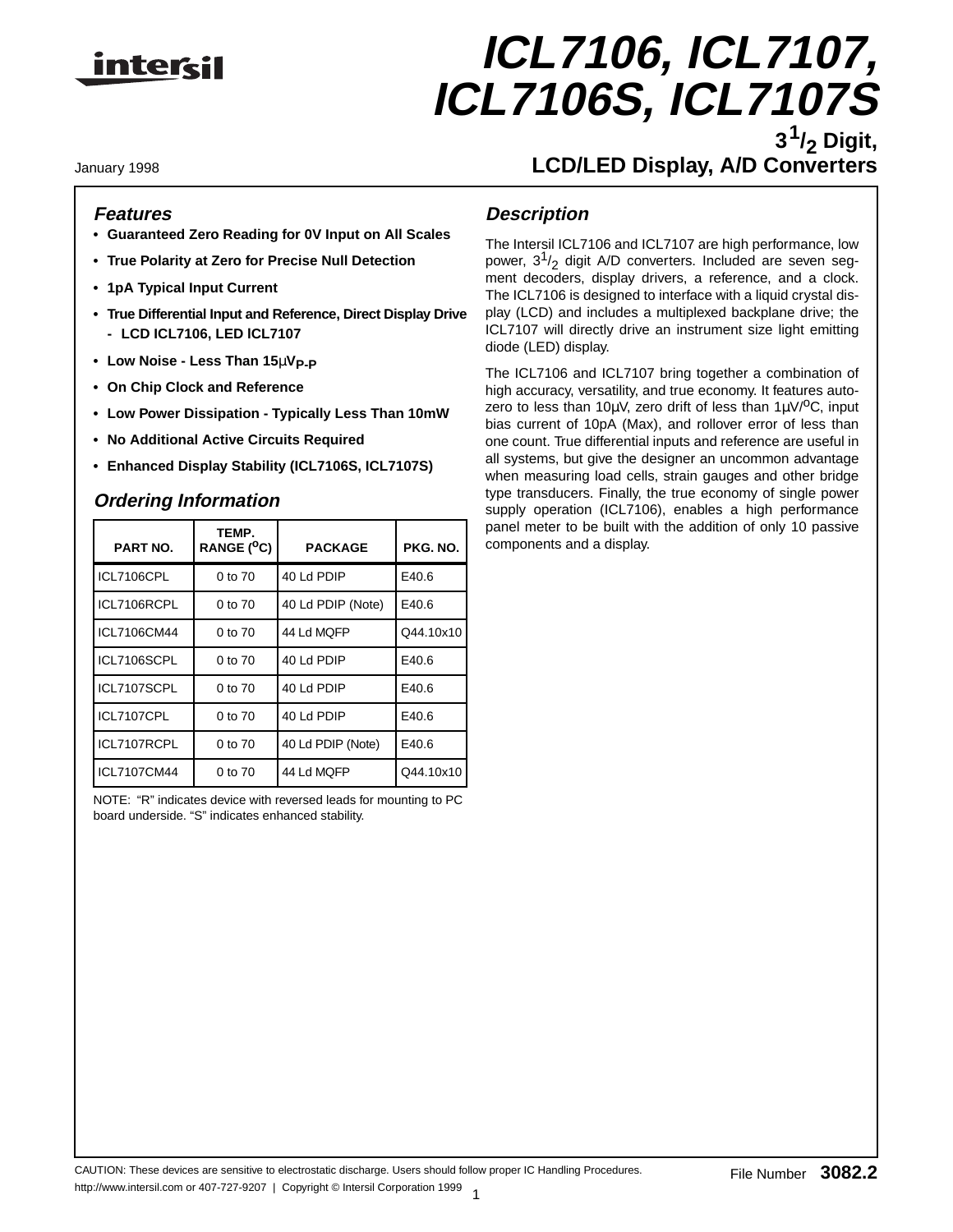

# **ICL7106, ICL7107, ICL7106S, ICL7107S <sup>3</sup>1/2 Digit,**

January 1998 **LCD/LED Display, A/D Converters**

# **Features**

- **Guaranteed Zero Reading for 0V Input on All Scales**
- **True Polarity at Zero for Precise Null Detection**
- **1pA Typical Input Current**
- **True Differential Input and Reference, Direct Display Drive - LCD ICL7106, LED lCL7107**
- **Low Noise Less Than 15µV<sub>P-P</sub>**
- **On Chip Clock and Reference**
- **Low Power Dissipation Typically Less Than 10mW**
- **No Additional Active Circuits Required**
- **Enhanced Display Stability (ICL7106S, ICL7107S)**

# **Ordering Information**

| <b>PART NO.</b> | TEMP.<br>$RANGE (^OC)$ | <b>PACKAGE</b>    | PKG. NO.  |
|-----------------|------------------------|-------------------|-----------|
| ICL7106CPL      | 0 to 70                | 40 Ld PDIP        | E40.6     |
| ICL7106RCPL     | 0 to 70                | 40 Ld PDIP (Note) | E40.6     |
| ICL7106CM44     | 0 to 70                | 44 Ld MQFP        | Q44.10x10 |
| ICL7106SCPL     | $0$ to $70$            | 40 Ld PDIP        | E40.6     |
| ICL7107SCPL     | $0$ to $70$            | 40 Ld PDIP        | E40.6     |
| ICL7107CPL      | $0$ to $70$            | 40 Ld PDIP        | E40.6     |
| ICL7107RCPL     | $0$ to $70$            | 40 Ld PDIP (Note) | E40.6     |
| ICL7107CM44     | 0 to 70                | 44 Ld MOFP        | Q44.10x10 |

NOTE: "R" indicates device with reversed leads for mounting to PC board underside. "S" indicates enhanced stability.

# **Description**

The Intersil ICL7106 and ICL7107 are high performance, low power,  $3^{1}/_{2}$  digit A/D converters. Included are seven segment decoders, display drivers, a reference, and a clock. The ICL7106 is designed to interface with a liquid crystal display (LCD) and includes a multiplexed backplane drive; the ICL7107 will directly drive an instrument size light emitting diode (LED) display.

The ICL7106 and ICL7107 bring together a combination of high accuracy, versatility, and true economy. It features autozero to less than 10 $\mu$ V, zero drift of less than 1 $\mu$ V/<sup>O</sup>C, input bias current of 10pA (Max), and rollover error of less than one count. True differential inputs and reference are useful in all systems, but give the designer an uncommon advantage when measuring load cells, strain gauges and other bridge type transducers. Finally, the true economy of single power supply operation (ICL7106), enables a high performance panel meter to be built with the addition of only 10 passive components and a display.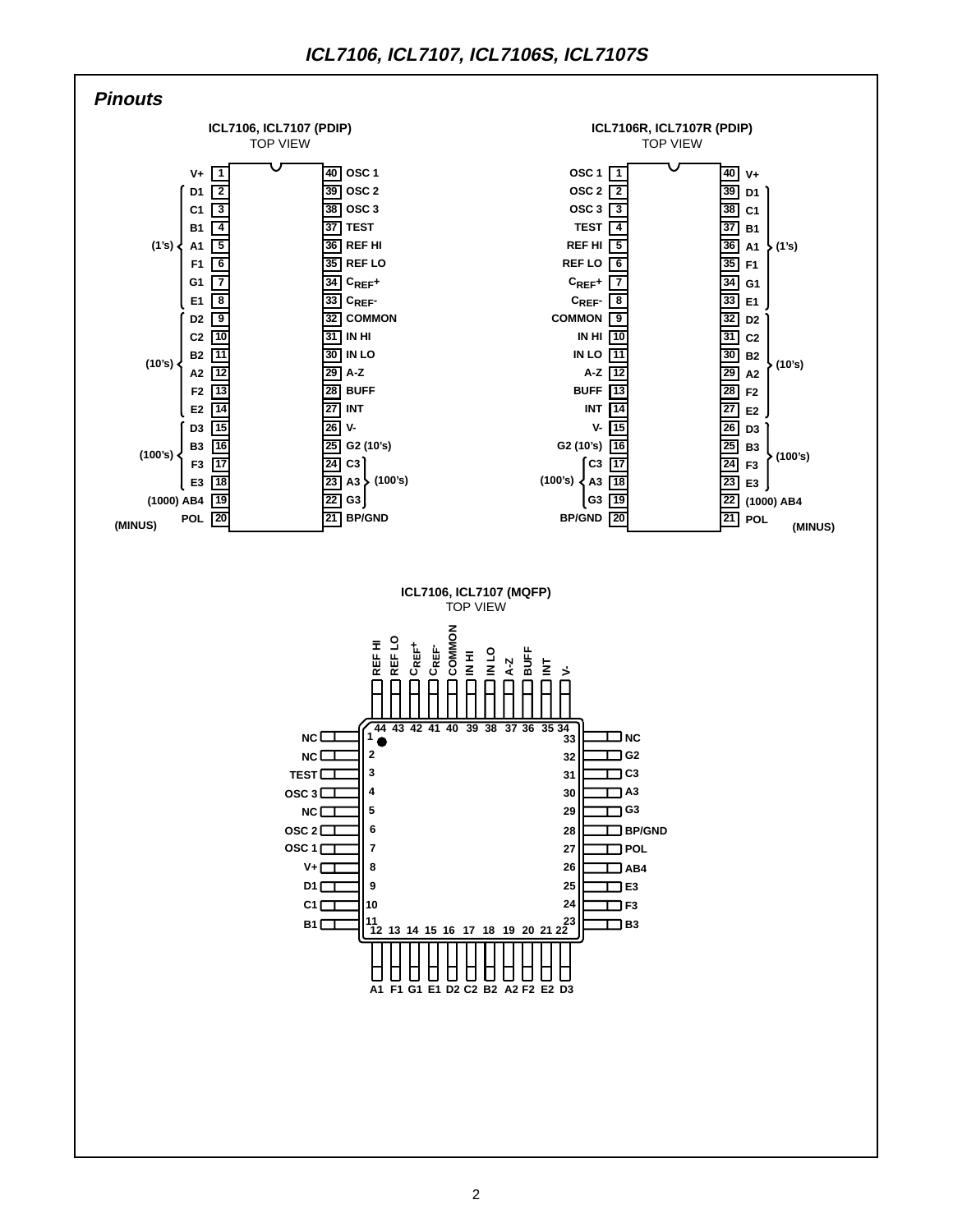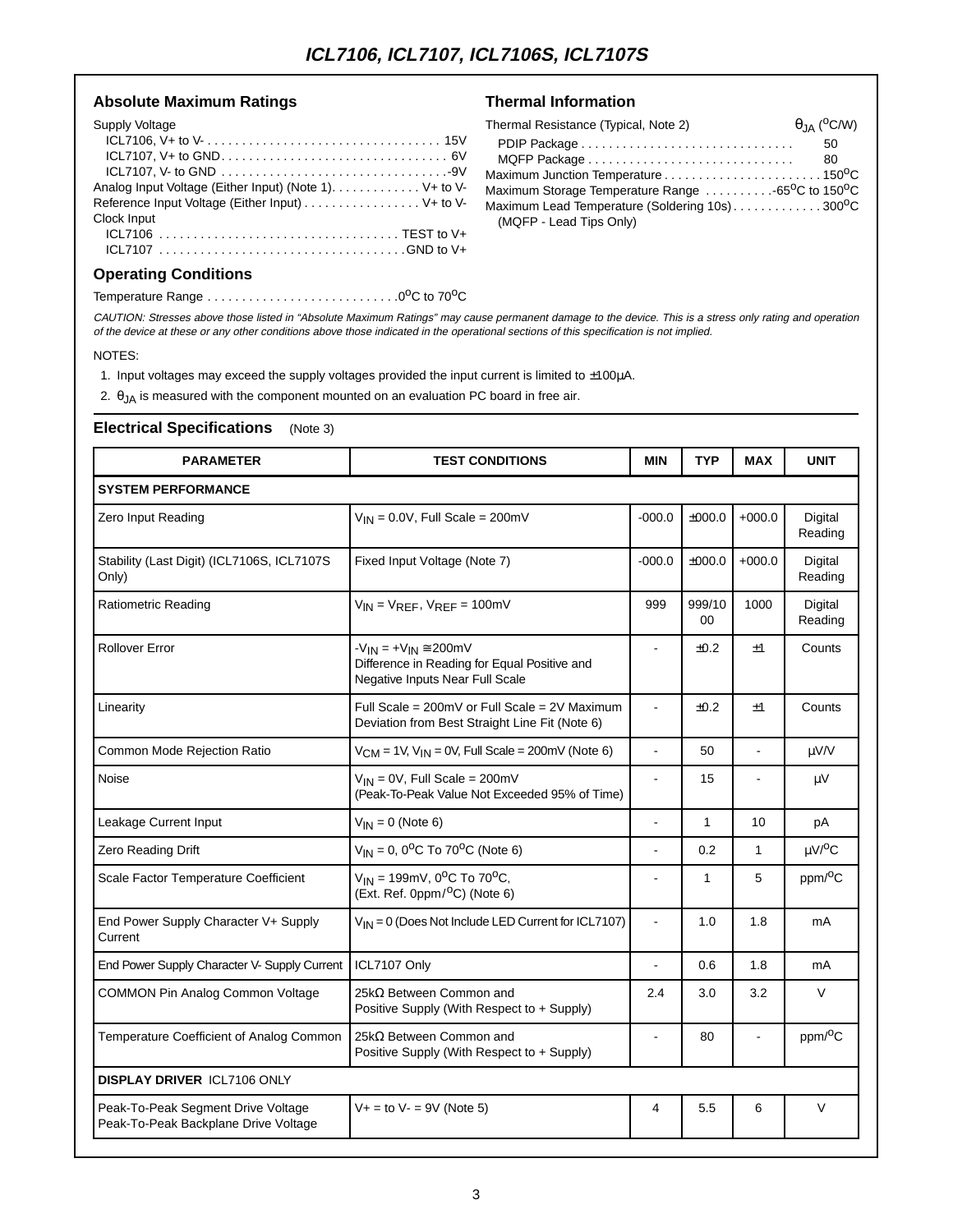### Absolute Maximum Ratings **National State State Transformation**

| $ICL7107$ GND to V+<br>Onevaling Candillana                    |  |
|----------------------------------------------------------------|--|
|                                                                |  |
| Reference Input Voltage (Either Input) V+ to V-<br>Clock Input |  |
|                                                                |  |
|                                                                |  |
|                                                                |  |
| Supply Voltage                                                 |  |
|                                                                |  |

| Thermal Resistance (Typical, Note 2)                                      | $\theta$ <sub>JA</sub> ( <sup>o</sup> C/W) |
|---------------------------------------------------------------------------|--------------------------------------------|
|                                                                           | 50                                         |
|                                                                           | -80                                        |
|                                                                           |                                            |
| Maximum Storage Temperature Range 65 <sup>o</sup> C to 150 <sup>o</sup> C |                                            |
| Maximum Lead Temperature (Soldering 10s)300 <sup>o</sup> C                |                                            |
| (MQFP - Lead Tips Only)                                                   |                                            |

#### **Operating Conditions**

Temperature Range . . . . . . . . . . . . . . . . . . . . . . . . . . . .0oC to 70oC

CAUTION: Stresses above those listed in "Absolute Maximum Ratings" may cause permanent damage to the device. This is <sup>a</sup> stress only rating and operation of the device at these or any other conditions above those indicated in the operational sections of this specification is not implied.

#### NOTES:

1. Input voltages may exceed the supply voltages provided the input current is limited to ±100µA.

2.  $\theta_{JA}$  is measured with the component mounted on an evaluation PC board in free air.

#### **Electrical Specifications** (Note 3)

| <b>PARAMETER</b>                                                           | <b>TEST CONDITIONS</b>                                                                                                   |                | <b>TYP</b>   | <b>MAX</b>     | <b>UNIT</b>             |  |
|----------------------------------------------------------------------------|--------------------------------------------------------------------------------------------------------------------------|----------------|--------------|----------------|-------------------------|--|
| <b>SYSTEM PERFORMANCE</b>                                                  |                                                                                                                          |                |              |                |                         |  |
| Zero Input Reading                                                         | $V_{IN} = 0.0V$ , Full Scale = 200mV                                                                                     | $-000.0$       | ±000.0       | $+000.0$       | Digital<br>Reading      |  |
| Stability (Last Digit) (ICL7106S, ICL7107S<br>Only)                        | Fixed Input Voltage (Note 7)                                                                                             | $-000.0$       | ±000.0       | $+000.0$       | Digital<br>Reading      |  |
| <b>Ratiometric Reading</b>                                                 | $V_{IN}$ = $V_{REF}$ , $V_{REF}$ = 100mV                                                                                 | 999            | 999/10<br>00 | 1000           | Digital<br>Reading      |  |
| <b>Rollover Error</b>                                                      | $-V_{IN}$ = $+V_{IN}$ $\approx$ 200mV<br>Difference in Reading for Equal Positive and<br>Negative Inputs Near Full Scale |                | ±0.2         | ±1             | Counts                  |  |
| Linearity                                                                  | Full Scale = $200mV$ or Full Scale = $2V$ Maximum<br>Deviation from Best Straight Line Fit (Note 6)                      |                | $+0.2$       | ±1             | Counts                  |  |
| Common Mode Rejection Ratio                                                | $V_{CM}$ = 1V, $V_{IN}$ = 0V, Full Scale = 200mV (Note 6)                                                                | $\overline{a}$ | 50           | $\overline{a}$ | uV/V                    |  |
| Noise                                                                      | $V_{1N} = 0V$ , Full Scale = 200mV<br>(Peak-To-Peak Value Not Exceeded 95% of Time)                                      |                | 15           |                | μV                      |  |
| Leakage Current Input                                                      | $V_{IN} = 0$ (Note 6)                                                                                                    | $\blacksquare$ | 1            | 10             | рA                      |  |
| Zero Reading Drift                                                         | $V_{\text{IN}} = 0$ , 0 <sup>o</sup> C To 70 <sup>o</sup> C (Note 6)                                                     | $\overline{a}$ | 0.2          | $\mathbf{1}$   | $\mu$ V/ <sup>o</sup> C |  |
| Scale Factor Temperature Coefficient                                       | $V_{IN}$ = 199mV, 0 <sup>o</sup> C To 70 <sup>o</sup> C,<br>(Ext. Ref. 0ppm/ <sup>o</sup> C) (Note 6)                    | $\overline{a}$ | 1            | 5              | ppm/ <sup>o</sup> C     |  |
| End Power Supply Character V+ Supply<br>Current                            | $V_{1N} = 0$ (Does Not Include LED Current for ICL7107)                                                                  |                | 1.0          | 1.8            | mA                      |  |
| End Power Supply Character V- Supply Current                               | ICL7107 Only                                                                                                             |                | 0.6          | 1.8            | mA                      |  |
| <b>COMMON Pin Analog Common Voltage</b>                                    | 25kΩ Between Common and<br>Positive Supply (With Respect to + Supply)                                                    | 2.4            | 3.0          | 3.2            | $\vee$                  |  |
| Temperature Coefficient of Analog Common                                   | 25kΩ Between Common and<br>Positive Supply (With Respect to + Supply)                                                    | $\blacksquare$ | 80           | $\blacksquare$ | ppm/ <sup>O</sup> C     |  |
| <b>DISPLAY DRIVER ICL7106 ONLY</b>                                         |                                                                                                                          |                |              |                |                         |  |
| Peak-To-Peak Segment Drive Voltage<br>Peak-To-Peak Backplane Drive Voltage | $V + =$ to $V - = 9V$ (Note 5)                                                                                           | 4              | 5.5          | 6              | $\vee$                  |  |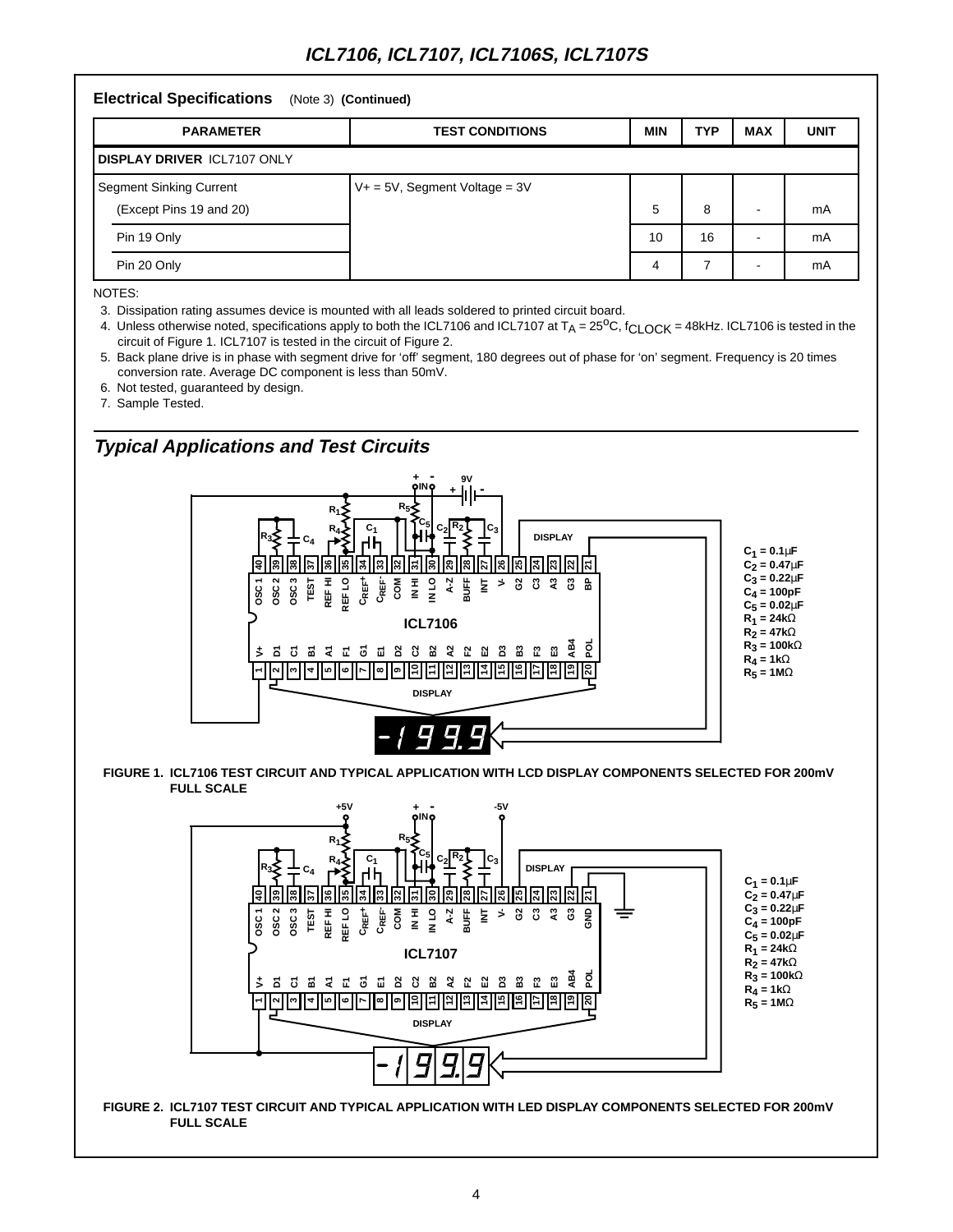| <b>Electrical Specifications</b><br>(Note 3) (Continued) |                                  |            |            |                          |             |  |  |
|----------------------------------------------------------|----------------------------------|------------|------------|--------------------------|-------------|--|--|
| <b>PARAMETER</b>                                         | <b>TEST CONDITIONS</b>           | <b>MIN</b> | <b>TYP</b> | <b>MAX</b>               | <b>UNIT</b> |  |  |
| <b>DISPLAY DRIVER ICL7107 ONLY</b>                       |                                  |            |            |                          |             |  |  |
| <b>Segment Sinking Current</b>                           | $V_+$ = 5V, Segment Voltage = 3V |            |            |                          |             |  |  |
| (Except Pins 19 and 20)                                  |                                  | 5          | 8          | $\overline{\phantom{a}}$ | mA          |  |  |
| Pin 19 Only                                              |                                  | 10         | 16         |                          | mA          |  |  |
| Pin 20 Only                                              |                                  | 4          | ⇁          |                          | mA          |  |  |

NOTES:

3. Dissipation rating assumes device is mounted with all leads soldered to printed circuit board.

- 4. Unless otherwise noted, specifications apply to both the ICL7106 and ICL7107 at  $T_A = 25^{\circ}\text{C}$ ,  $f_{CLOCK} = 48\text{kHz}$ . ICL7106 is tested in the circuit of Figure 1. ICL7107 is tested in the circuit of Figure 2.
- 5. Back plane drive is in phase with segment drive for 'off' segment, 180 degrees out of phase for 'on' segment. Frequency is 20 times conversion rate. Average DC component is less than 50mV.
- 6. Not tested, guaranteed by design.

**FULL SCALE**

7. Sample Tested.

# **Typical Applications and Test Circuits**



**FIGURE 1. ICL7106 TEST CIRCUIT AND TYPICAL APPLICATION WITH LCD DISPLAY COMPONENTS SELECTED FOR 200mV FULL SCALE**

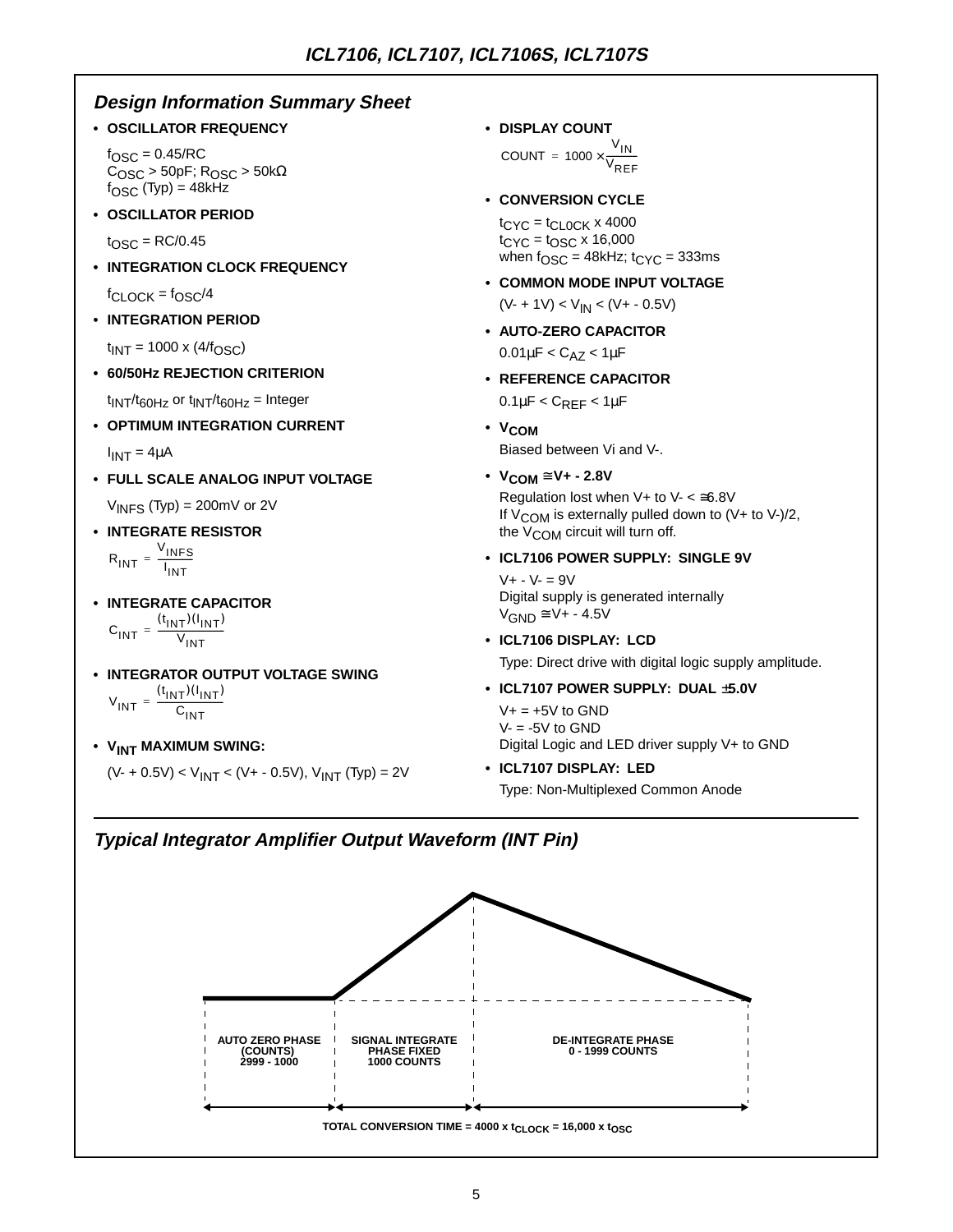# **Design Information Summary Sheet**

**• OSCILLATOR FREQUENCY**

 $f<sub>OSC</sub> = 0.45/RC$  $C<sub>OSC</sub>$  > 50pF; R<sub>OSC</sub> > 50k $\Omega$  $f<sub>OSC</sub>$  (Typ) = 48kHz

**• OSCILLATOR PERIOD**

 $t<sub>OSC</sub> = RC/0.45$ 

**• INTEGRATION CLOCK FREQUENCY**

 $f_{\text{Cl OCK}} = f_{\text{OSC}}/4$ 

**• INTEGRATION PERIOD**

 $t_{INT} = 1000 \times (4/f_{OSC})$ 

**• 60/50Hz REJECTION CRITERION**

 $t_{INT}/t_{60Hz}$  or  $t_{INT}/t_{60Hz}$  = Integer

**• OPTIMUM INTEGRATION CURRENT**

 $I_{INT} = 4\mu A$ 

**• FULL SCALE ANALOG INPUT VOLTAGE**

 $V_{INFS}$  (Typ) = 200mV or 2V

**• INTEGRATE RESISTOR**

 $R_{INT} = \frac{V_{INFS}}{V_{IVF}}$ I INT  $= - \frac{1}{1}$ 

- **INTEGRATE CAPACITOR**  $C_{\text{INT}} = \frac{(t_{\text{INT}})(l_{\text{INT}})}{V_{\text{H}}(l_{\text{INT}})}$  $=\frac{V_{\text{INT}}}{V_{\text{INT}}}$
- **INTEGRATOR OUTPUT VOLTAGE SWING**  $V_{\text{INT}} = \frac{(t_{\text{INT}})(l_{\text{INT}})}{C_{\text{H}}}$  $=\frac{C_{INT}}{C_{INT}}$
- **VINT MAXIMUM SWING:**

 $(V - 0.5V) < V_{INT} < (V + 0.5V)$ ,  $V_{INT}$  (Typ) = 2V

- **DISPLAY COUNT** COUNT =  $1000 \times \frac{V_{IN}}{V}$  $= 1000 \times \frac{18}{V_{REF}}$
- **CONVERSION CYCLE**

 $t_{CYC}$  =  $t_{CL0CK}$  x 4000  $t_{CYC} = t_{OSC} \times 16,000$ when  $f_{\text{OSC}} = 48$ kHz;  $t_{\text{CYC}} = 333$ ms

- **COMMON MODE INPUT VOLTAGE**  $(V - + 1V) < V_{IN} < (V + - 0.5V)$
- **AUTO-ZERO CAPACITOR**

 $0.01 \mu$ F <  $C_{AZ}$  <  $1 \mu$ F

- **REFERENCE CAPACITOR**  $0.1 \mu$ F < C<sub>RFF</sub> < 1 $\mu$ F
- **VCOM** Biased between Vi and V-.
- $V_{COM} \cong V + -2.8V$

Regulation lost when  $V+$  to  $V-$  <  $\approx 6.8V$ If  $V_{\text{COM}}$  is externally pulled down to (V+ to V-)/2, the  $V_{\text{COM}}$  circuit will turn off.

- **ICL7106 POWER SUPPLY: SINGLE 9V**  $V + - V - = 9V$ Digital supply is generated internally  $V_{GND} \cong V + -4.5V$
- **ICL7106 DISPLAY: LCD** Type: Direct drive with digital logic supply amplitude.
- **ICL7107 POWER SUPPLY: DUAL** ±**5.0V**  $V+=+5V$  to GND  $V = -5V$  to GND Digital Logic and LED driver supply V+ to GND
- **ICL7107 DISPLAY: LED** Type: Non-Multiplexed Common Anode

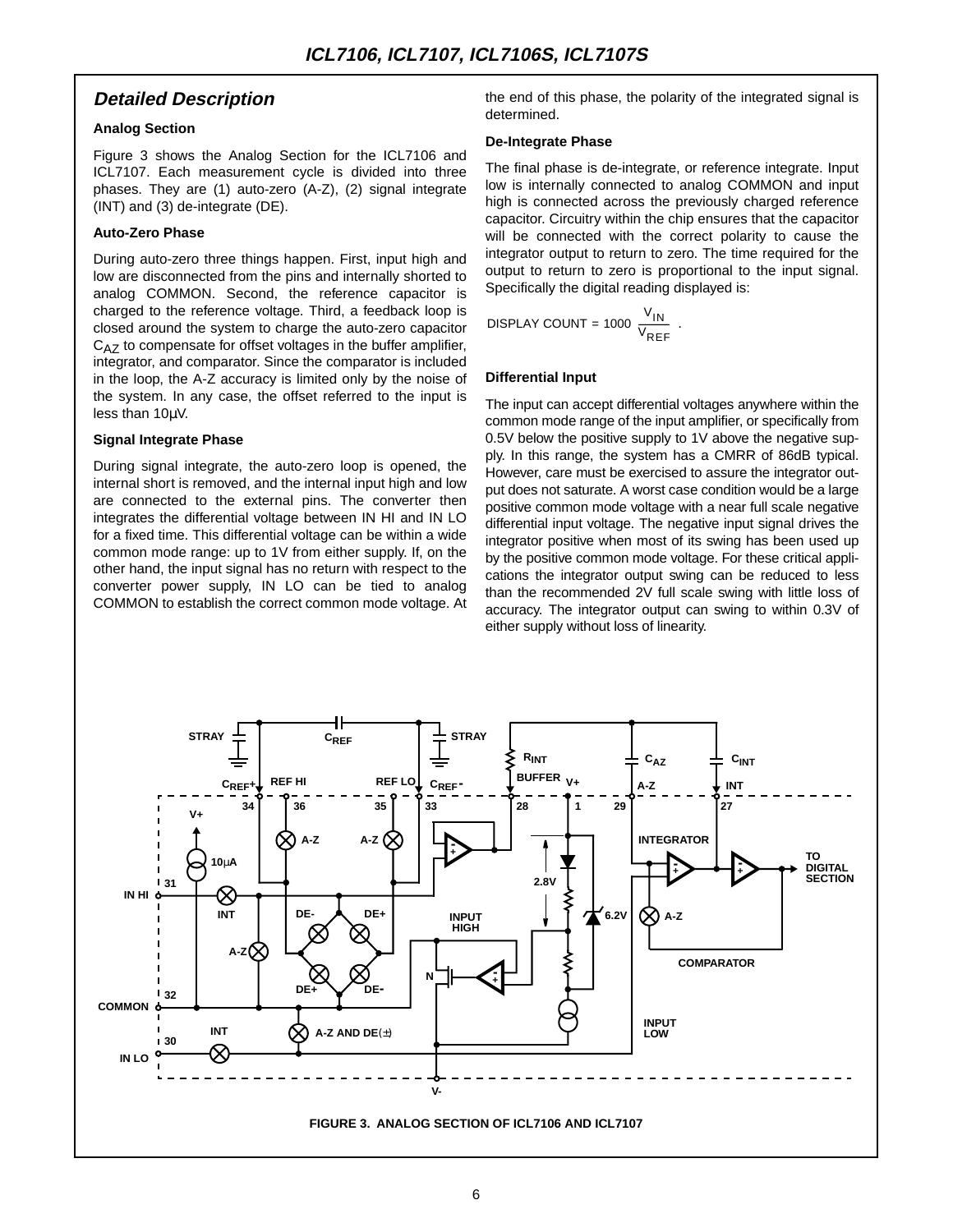# **Detailed Description**

#### **Analog Section**

Figure 3 shows the Analog Section for the ICL7106 and ICL7107. Each measurement cycle is divided into three phases. They are (1) auto-zero (A-Z), (2) signal integrate (INT) and (3) de-integrate (DE).

#### **Auto-Zero Phase**

During auto-zero three things happen. First, input high and low are disconnected from the pins and internally shorted to analog COMMON. Second, the reference capacitor is charged to the reference voltage. Third, a feedback loop is closed around the system to charge the auto-zero capacitor  $C_{A}$  to compensate for offset voltages in the buffer amplifier, integrator, and comparator. Since the comparator is included in the loop, the A-Z accuracy is limited only by the noise of the system. In any case, the offset referred to the input is less than 10µV.

#### **Signal Integrate Phase**

During signal integrate, the auto-zero loop is opened, the internal short is removed, and the internal input high and low are connected to the external pins. The converter then integrates the differential voltage between IN HI and IN LO for a fixed time. This differential voltage can be within a wide common mode range: up to 1V from either supply. If, on the other hand, the input signal has no return with respect to the converter power supply, IN LO can be tied to analog COMMON to establish the correct common mode voltage. At

the end of this phase, the polarity of the integrated signal is determined.

#### **De-Integrate Phase**

The final phase is de-integrate, or reference integrate. Input low is internally connected to analog COMMON and input high is connected across the previously charged reference capacitor. Circuitry within the chip ensures that the capacitor will be connected with the correct polarity to cause the integrator output to return to zero. The time required for the output to return to zero is proportional to the input signal. Specifically the digital reading displayed is:

$$
DISPLAN COUNT = 1000 \left( \frac{V_{IN}}{V_{REF}} \right).
$$

#### **Differential Input**

The input can accept differential voltages anywhere within the common mode range of the input amplifier, or specifically from 0.5V below the positive supply to 1V above the negative supply. In this range, the system has a CMRR of 86dB typical. However, care must be exercised to assure the integrator output does not saturate. A worst case condition would be a large positive common mode voltage with a near full scale negative differential input voltage. The negative input signal drives the integrator positive when most of its swing has been used up by the positive common mode voltage. For these critical applications the integrator output swing can be reduced to less than the recommended 2V full scale swing with little loss of accuracy. The integrator output can swing to within 0.3V of either supply without loss of linearity.

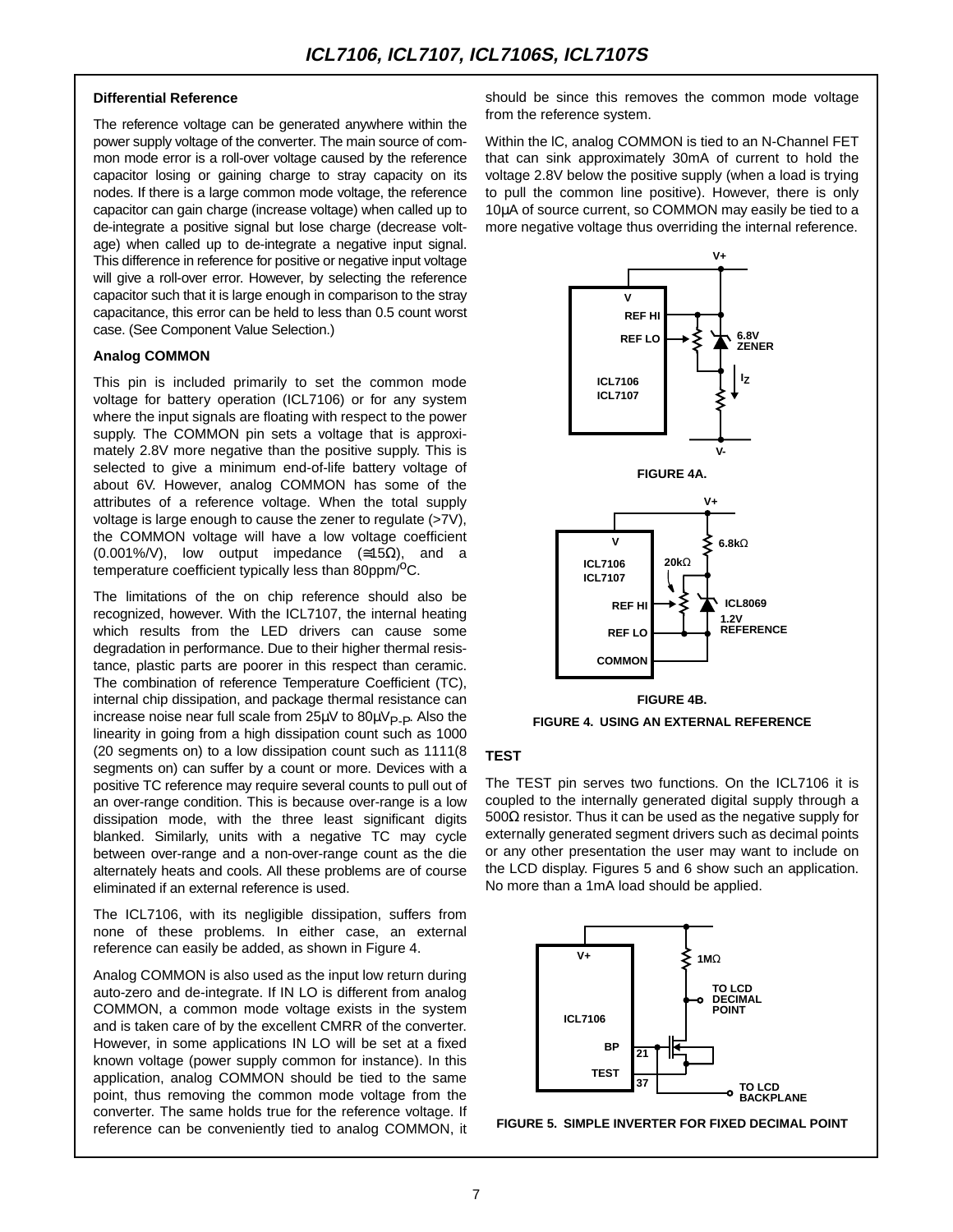#### **Differential Reference**

The reference voltage can be generated anywhere within the power supply voltage of the converter. The main source of common mode error is a roll-over voltage caused by the reference capacitor losing or gaining charge to stray capacity on its nodes. If there is a large common mode voltage, the reference capacitor can gain charge (increase voltage) when called up to de-integrate a positive signal but lose charge (decrease voltage) when called up to de-integrate a negative input signal. This difference in reference for positive or negative input voltage will give a roll-over error. However, by selecting the reference capacitor such that it is large enough in comparison to the stray capacitance, this error can be held to less than 0.5 count worst case. (See Component Value Selection.)

#### **Analog COMMON**

This pin is included primarily to set the common mode voltage for battery operation (ICL7106) or for any system where the input signals are floating with respect to the power supply. The COMMON pin sets a voltage that is approximately 2.8V more negative than the positive supply. This is selected to give a minimum end-of-life battery voltage of about 6V. However, analog COMMON has some of the attributes of a reference voltage. When the total supply voltage is large enough to cause the zener to regulate (>7V), the COMMON voltage will have a low voltage coefficient  $(0.001\%/V)$ , low output impedance ( $\approx 15\Omega$ ), and a temperature coefficient typically less than 80ppm/ $\rm ^{0}C$ .

The limitations of the on chip reference should also be recognized, however. With the ICL7107, the internal heating which results from the LED drivers can cause some degradation in performance. Due to their higher thermal resistance, plastic parts are poorer in this respect than ceramic. The combination of reference Temperature Coefficient (TC), internal chip dissipation, and package thermal resistance can increase noise near full scale from  $25\mu$ V to  $80\mu$ V<sub>P-P</sub>. Also the linearity in going from a high dissipation count such as 1000 (20 segments on) to a low dissipation count such as 1111(8 segments on) can suffer by a count or more. Devices with a positive TC reference may require several counts to pull out of an over-range condition. This is because over-range is a low dissipation mode, with the three least significant digits blanked. Similarly, units with a negative TC may cycle between over-range and a non-over-range count as the die alternately heats and cools. All these problems are of course eliminated if an external reference is used.

The ICL7106, with its negligible dissipation, suffers from none of these problems. In either case, an external reference can easily be added, as shown in Figure 4.

Analog COMMON is also used as the input low return during auto-zero and de-integrate. If IN LO is different from analog COMMON, a common mode voltage exists in the system and is taken care of by the excellent CMRR of the converter. However, in some applications IN LO will be set at a fixed known voltage (power supply common for instance). In this application, analog COMMON should be tied to the same point, thus removing the common mode voltage from the converter. The same holds true for the reference voltage. If reference can be conveniently tied to analog COMMON, it should be since this removes the common mode voltage from the reference system.

Within the lC, analog COMMON is tied to an N-Channel FET that can sink approximately 30mA of current to hold the voltage 2.8V below the positive supply (when a load is trying to pull the common line positive). However, there is only 10µA of source current, so COMMON may easily be tied to a more negative voltage thus overriding the internal reference.



**FIGURE 4. USING AN EXTERNAL REFERENCE**

#### **TEST**

The TEST pin serves two functions. On the ICL7106 it is coupled to the internally generated digital supply through a 500Ω resistor. Thus it can be used as the negative supply for externally generated segment drivers such as decimal points or any other presentation the user may want to include on the LCD display. Figures 5 and 6 show such an application. No more than a 1mA load should be applied.



**FIGURE 5. SIMPLE INVERTER FOR FIXED DECIMAL POINT**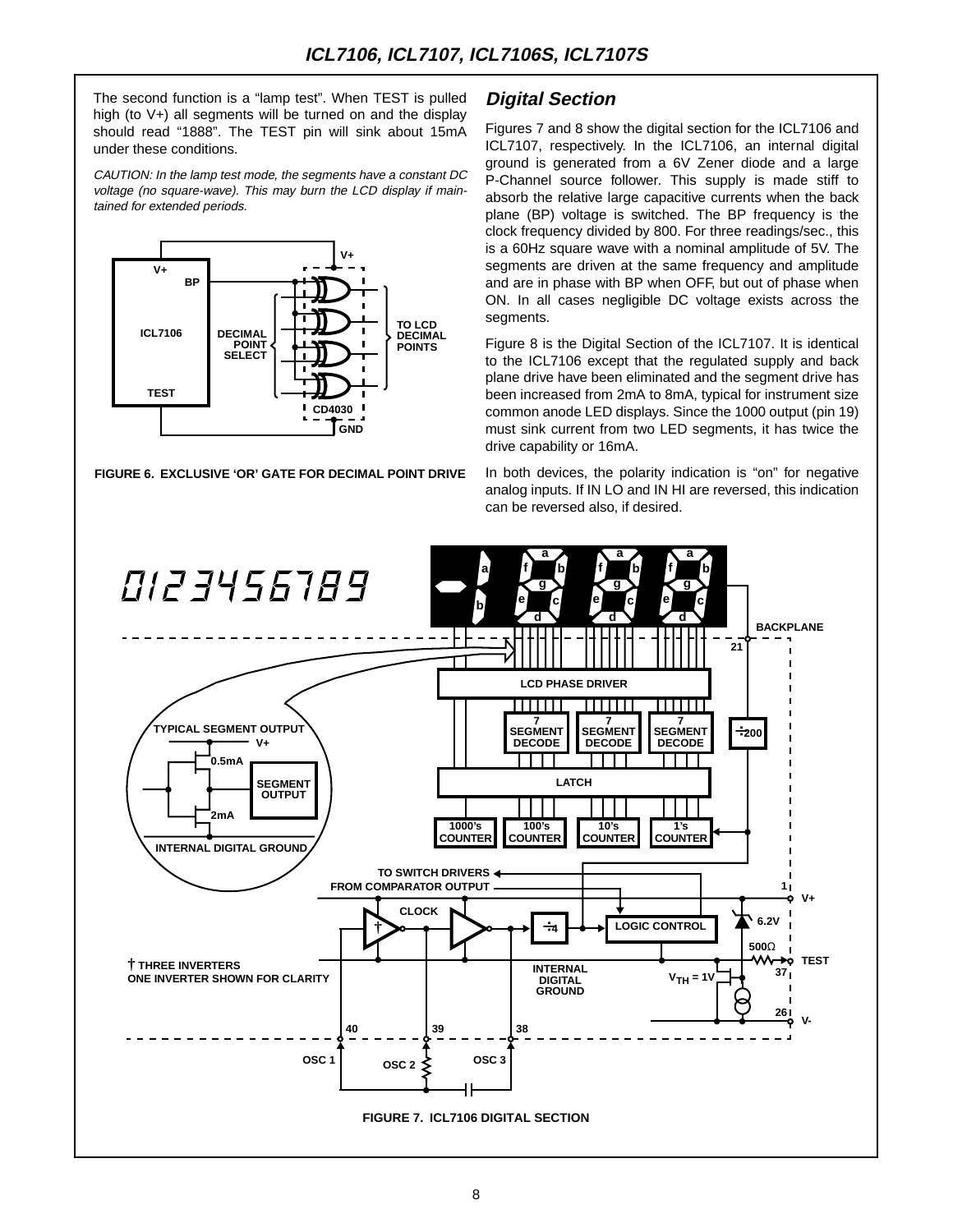The second function is a "lamp test". When TEST is pulled high (to V+) all segments will be turned on and the display should read "1888". The TEST pin will sink about 15mA under these conditions.

CAUTION: In the lamp test mode, the segments have <sup>a</sup> constant DC voltage (no square-wave). This may burn the LCD display if maintained for extended periods.



**FIGURE 6. EXCLUSIVE 'OR' GATE FOR DECIMAL POINT DRIVE**

# **Digital Section**

Figures 7 and 8 show the digital section for the ICL7106 and ICL7107, respectively. In the ICL7106, an internal digital ground is generated from a 6V Zener diode and a large P-Channel source follower. This supply is made stiff to absorb the relative large capacitive currents when the back plane (BP) voltage is switched. The BP frequency is the clock frequency divided by 800. For three readings/sec., this is a 60Hz square wave with a nominal amplitude of 5V. The segments are driven at the same frequency and amplitude and are in phase with BP when OFF, but out of phase when ON. In all cases negligible DC voltage exists across the segments.

Figure 8 is the Digital Section of the ICL7107. It is identical to the ICL7106 except that the regulated supply and back plane drive have been eliminated and the segment drive has been increased from 2mA to 8mA, typical for instrument size common anode LED displays. Since the 1000 output (pin 19) must sink current from two LED segments, it has twice the drive capability or 16mA.

In both devices, the polarity indication is "on" for negative analog inputs. If IN LO and IN HI are reversed, this indication can be reversed also, if desired.

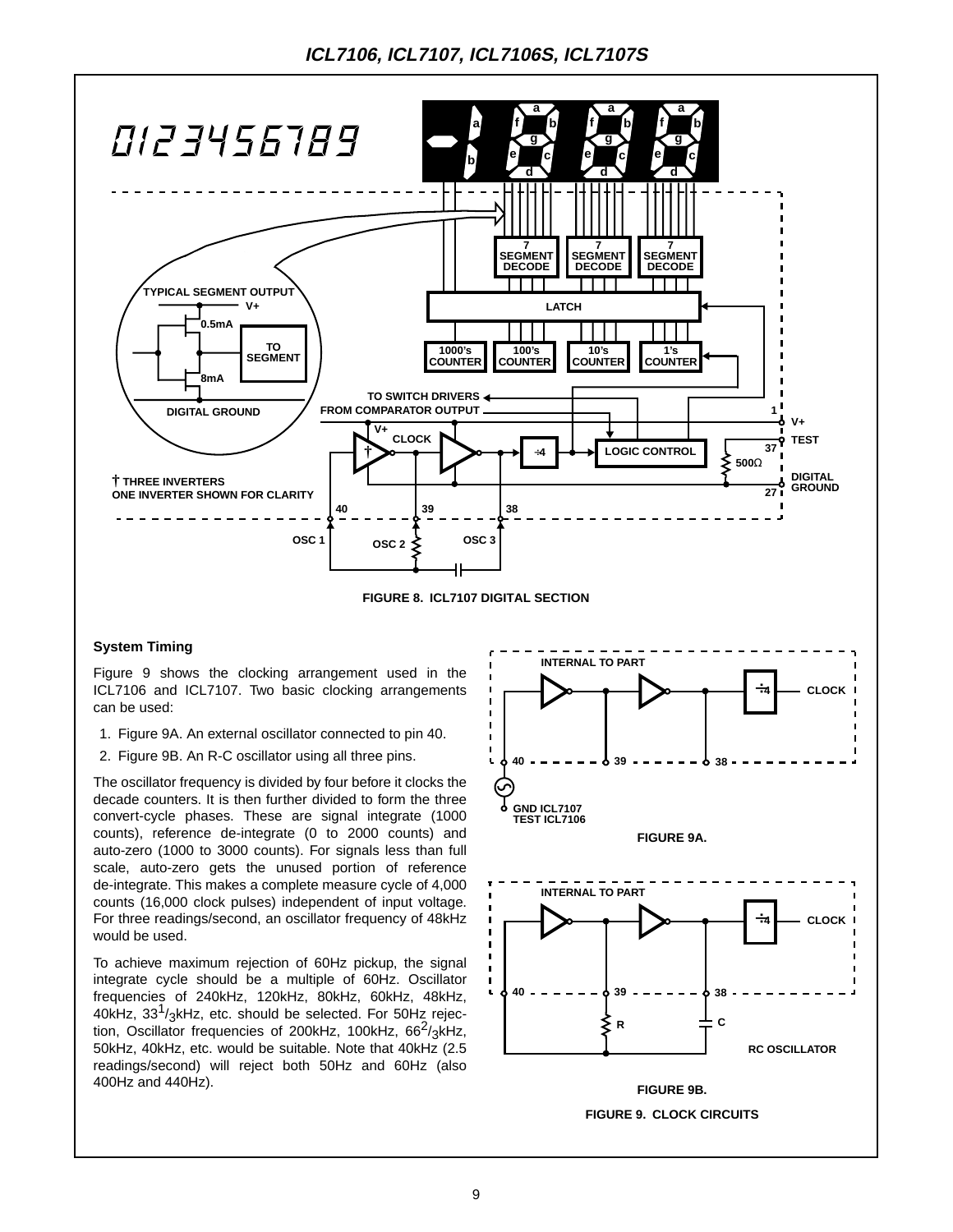

#### **System Timing**

Figure 9 shows the clocking arrangement used in the ICL7106 and ICL7107. Two basic clocking arrangements can be used:

- 1. Figure 9A. An external oscillator connected to pin 40.
- 2. Figure 9B. An R-C oscillator using all three pins.

The oscillator frequency is divided by four before it clocks the decade counters. It is then further divided to form the three convert-cycle phases. These are signal integrate (1000 counts), reference de-integrate (0 to 2000 counts) and auto-zero (1000 to 3000 counts). For signals less than full scale, auto-zero gets the unused portion of reference de-integrate. This makes a complete measure cycle of 4,000 counts (16,000 clock pulses) independent of input voltage. For three readings/second, an oscillator frequency of 48kHz would be used.

To achieve maximum rejection of 60Hz pickup, the signal integrate cycle should be a multiple of 60Hz. Oscillator frequencies of 240kHz, 120kHz, 80kHz, 60kHz, 48kHz, 40kHz,  $33^1$ /<sub>3</sub>kHz, etc. should be selected. For 50Hz rejection, Oscillator frequencies of 200kHz, 100kHz,  $66^2$ /<sub>3</sub>kHz, 50kHz, 40kHz, etc. would be suitable. Note that 40kHz (2.5 readings/second) will reject both 50Hz and 60Hz (also 400Hz and 440Hz).

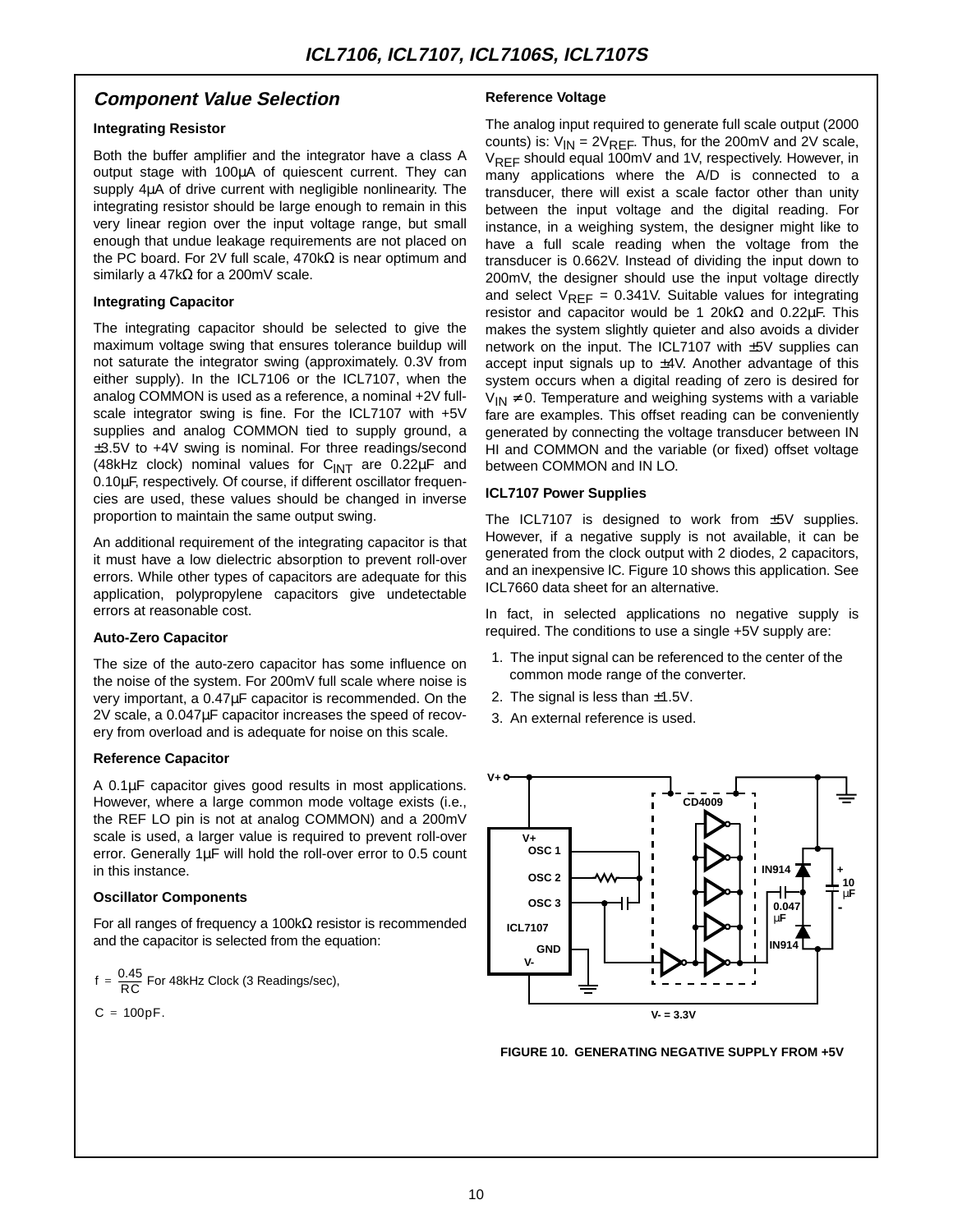# **Component Value Selection**

#### **Integrating Resistor**

Both the buffer amplifier and the integrator have a class A output stage with 100µA of quiescent current. They can supply 4µA of drive current with negligible nonlinearity. The integrating resistor should be large enough to remain in this very linear region over the input voltage range, but small enough that undue leakage requirements are not placed on the PC board. For 2V full scale, 470kΩ is near optimum and similarly a 47kΩ for a 200mV scale.

#### **Integrating Capacitor**

The integrating capacitor should be selected to give the maximum voltage swing that ensures tolerance buildup will not saturate the integrator swing (approximately. 0.3V from either supply). In the ICL7106 or the ICL7107, when the analog COMMON is used as a reference, a nominal +2V fullscale integrator swing is fine. For the ICL7107 with +5V supplies and analog COMMON tied to supply ground, a ±3.5V to +4V swing is nominal. For three readings/second (48kHz clock) nominal values for  $C_{\text{INT}}$  are 0.22 $\mu$ F and 0.10µF, respectively. Of course, if different oscillator frequencies are used, these values should be changed in inverse proportion to maintain the same output swing.

An additional requirement of the integrating capacitor is that it must have a low dielectric absorption to prevent roll-over errors. While other types of capacitors are adequate for this application, polypropylene capacitors give undetectable errors at reasonable cost.

### **Auto-Zero Capacitor**

The size of the auto-zero capacitor has some influence on the noise of the system. For 200mV full scale where noise is very important, a 0.47µF capacitor is recommended. On the 2V scale, a 0.047µF capacitor increases the speed of recovery from overload and is adequate for noise on this scale.

### **Reference Capacitor**

A 0.1µF capacitor gives good results in most applications. However, where a large common mode voltage exists (i.e., the REF LO pin is not at analog COMMON) and a 200mV scale is used, a larger value is required to prevent roll-over error. Generally 1µF will hold the roll-over error to 0.5 count in this instance.

#### **Oscillator Components**

For all ranges of frequency a 100kΩ resistor is recommended and the capacitor is selected from the equation:

$$
f = \frac{0.45}{RC}
$$
 For 48kHz Clock (3 Readings/sec),  
C = 100pF.

### **Reference Voltage**

The analog input required to generate full scale output (2000 counts) is:  $V_{\text{IN}} = 2V_{\text{REF}}$ . Thus, for the 200mV and 2V scale,  $V_{RFF}$  should equal 100mV and 1V, respectively. However, in many applications where the A/D is connected to a transducer, there will exist a scale factor other than unity between the input voltage and the digital reading. For instance, in a weighing system, the designer might like to have a full scale reading when the voltage from the transducer is 0.662V. Instead of dividing the input down to 200mV, the designer should use the input voltage directly and select  $V_{RFF}$  = 0.341V. Suitable values for integrating resistor and capacitor would be 1 20kΩ and  $0.22\mu$ F. This makes the system slightly quieter and also avoids a divider network on the input. The ICL7107 with ±5V supplies can accept input signals up to  $\pm$ 4V. Another advantage of this system occurs when a digital reading of zero is desired for  $V_{1N} \neq 0$ . Temperature and weighing systems with a variable fare are examples. This offset reading can be conveniently generated by connecting the voltage transducer between IN HI and COMMON and the variable (or fixed) offset voltage between COMMON and IN LO.

#### **ICL7107 Power Supplies**

The ICL7107 is designed to work from ±5V supplies. However, if a negative supply is not available, it can be generated from the clock output with 2 diodes, 2 capacitors, and an inexpensive lC. Figure 10 shows this application. See ICL7660 data sheet for an alternative.

In fact, in selected applications no negative supply is required. The conditions to use a single +5V supply are:

- 1. The input signal can be referenced to the center of the common mode range of the converter.
- 2. The signal is less than ±1.5V.
- 3. An external reference is used.



**FIGURE 10. GENERATING NEGATIVE SUPPLY FROM +5V**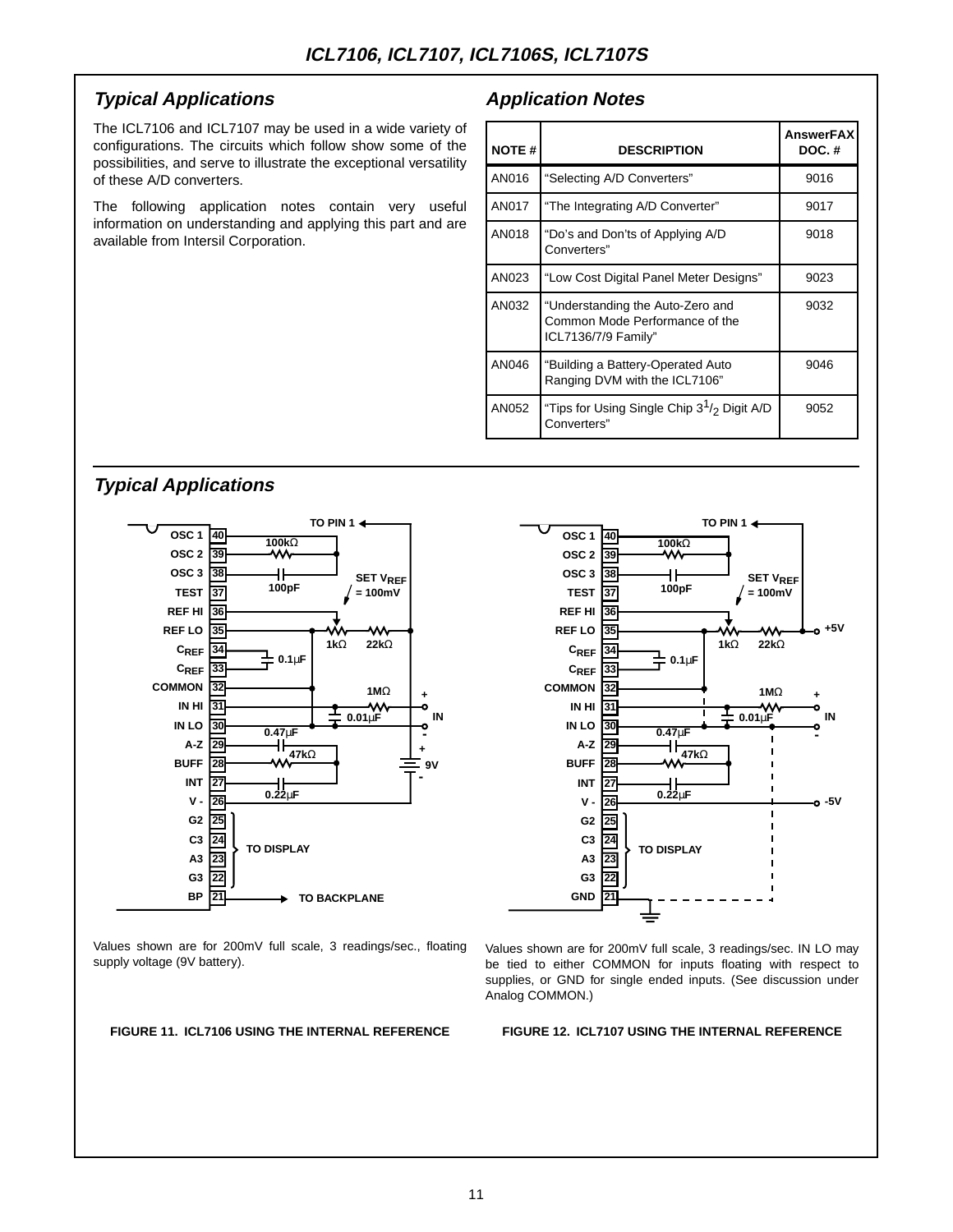# **Typical Applications**

The ICL7106 and ICL7107 may be used in a wide variety of configurations. The circuits which follow show some of the possibilities, and serve to illustrate the exceptional versatility of these A/D converters.

The following application notes contain very useful information on understanding and applying this part and are available from Intersil Corporation.

# **Application Notes**

| <b>NOTE#</b> | <b>DESCRIPTION</b>                                                                        | <b>AnswerFAX</b><br>$DOC.$ # |
|--------------|-------------------------------------------------------------------------------------------|------------------------------|
| AN016        | "Selecting A/D Converters"                                                                | 9016                         |
| AN017        | "The Integrating A/D Converter"                                                           | 9017                         |
| AN018        | "Do's and Don'ts of Applying A/D<br>Converters"                                           | 9018                         |
| AN023        | "Low Cost Digital Panel Meter Designs"                                                    | 9023                         |
| AN032        | "Understanding the Auto-Zero and<br>Common Mode Performance of the<br>ICL7136/7/9 Family" | 9032                         |
| AN046        | "Building a Battery-Operated Auto<br>Ranging DVM with the ICL7106"                        | 9046                         |
| AN052        | "Tips for Using Single Chip 3 <sup>1</sup> / <sub>2</sub> Digit A/D<br>Converters"        | 9052                         |

# **Typical Applications**





Values shown are for 200mV full scale, 3 readings/sec., floating supply voltage (9V battery).

**FIGURE 11. ICL7106 USING THE INTERNAL REFERENCE FIGURE 12. ICL7107 USING THE INTERNAL REFERENCE**

Values shown are for 200mV full scale, 3 readings/sec. IN LO may be tied to either COMMON for inputs floating with respect to supplies, or GND for single ended inputs. (See discussion under Analog COMMON.)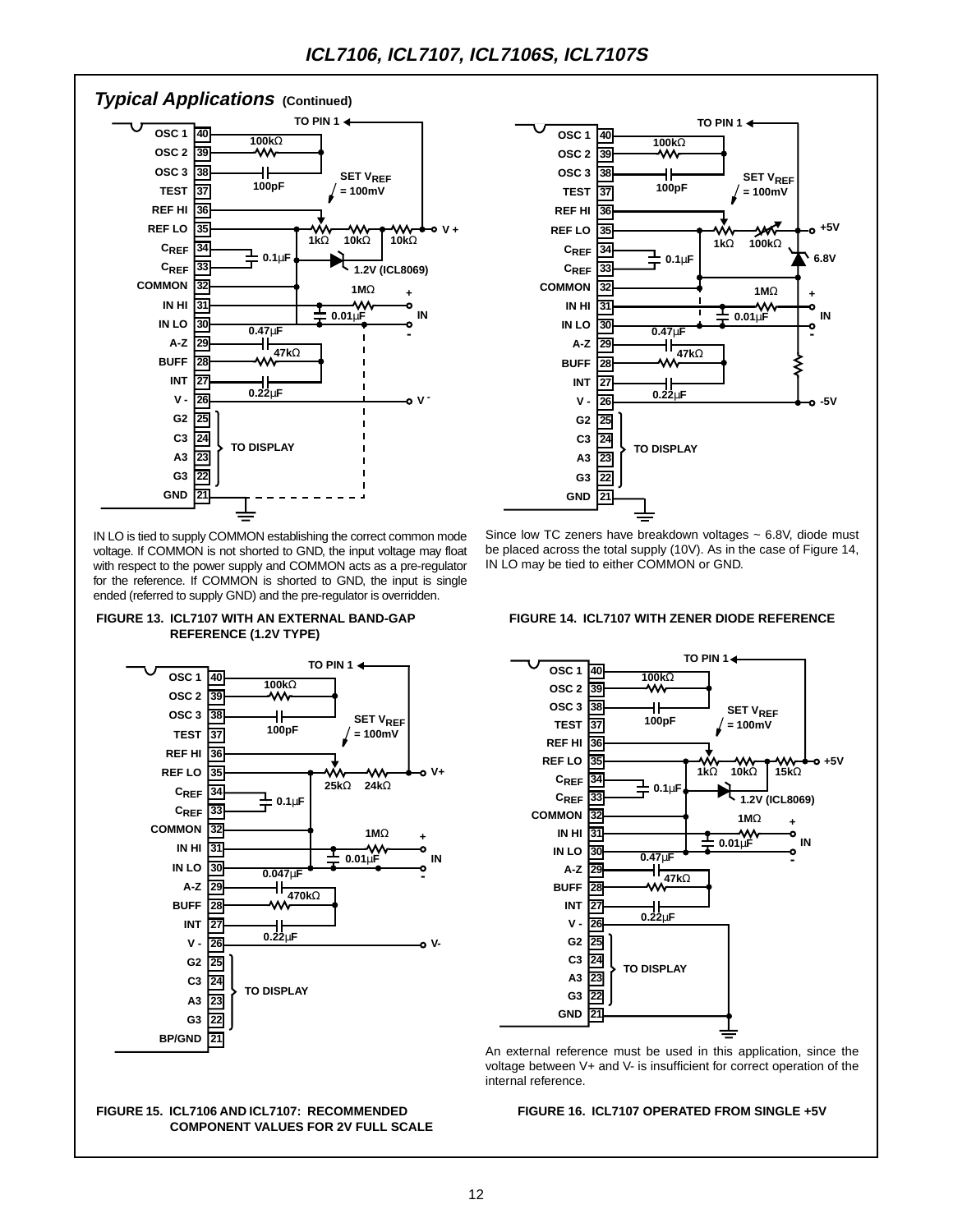

IN LO is tied to supply COMMON establishing the correct common mode voltage. If COMMON is not shorted to GND, the input voltage may float with respect to the power supply and COMMON acts as a pre-regulator for the reference. If COMMON is shorted to GND, the input is single ended (referred to supply GND) and the pre-regulator is overridden.







Since low TC zeners have breakdown voltages ~ 6.8V, diode must be placed across the total supply (10V). As in the case of Figure 14, IN LO may be tied to either COMMON or GND.





An external reference must be used in this application, since the voltage between V+ and V- is insufficient for correct operation of the internal reference.

#### **FIGURE 15. ICL7106 AND ICL7107: RECOMMENDED COMPONENT VALUES FOR 2V FULL SCALE**

#### **FIGURE 16. ICL7107 OPERATED FROM SINGLE +5V**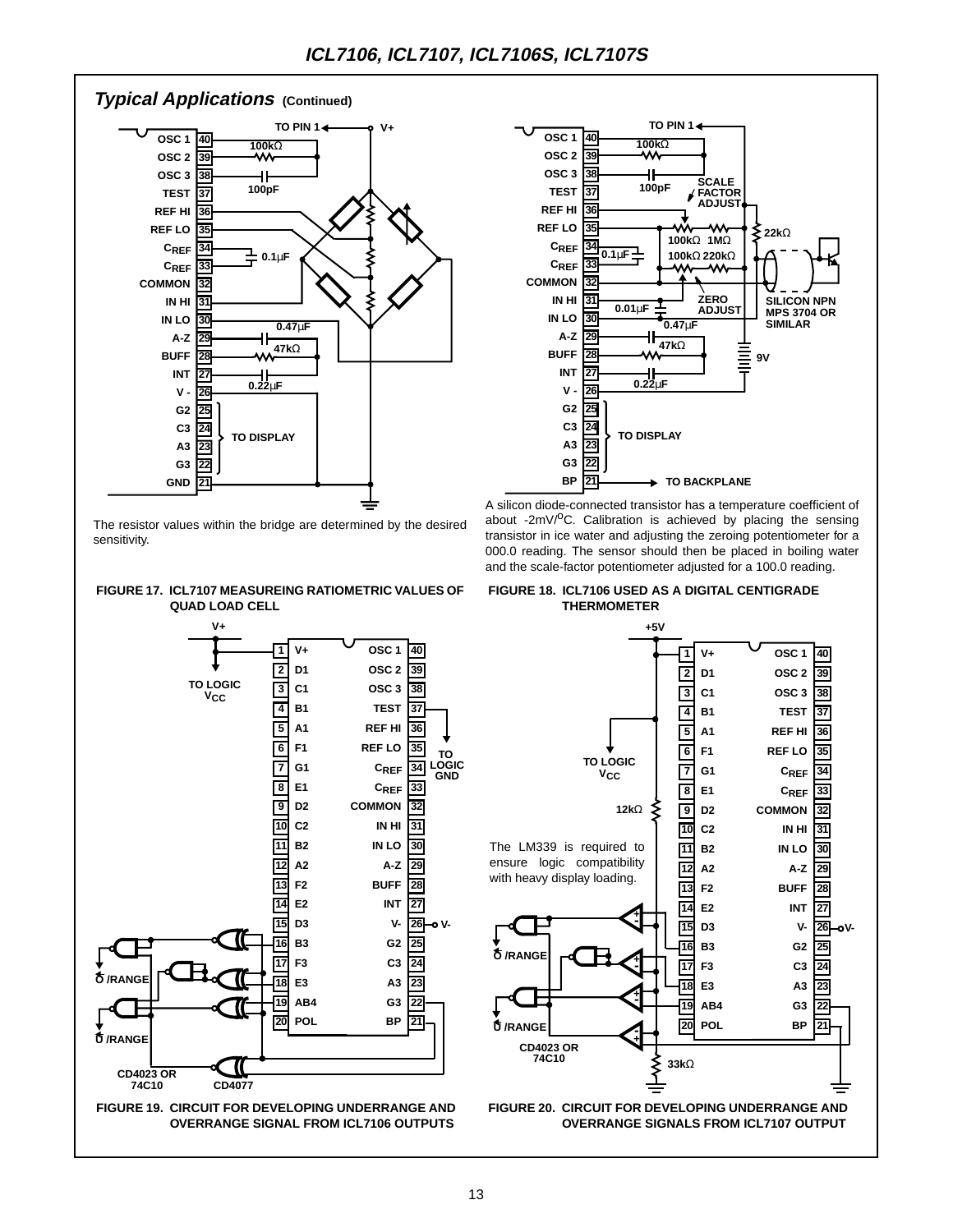

The resistor values within the bridge are determined by the desired sensitivity.

**FIGURE 17. ICL7107 MEASUREING RATIOMETRIC VALUES OF QUAD LOAD CELL**



**FIGURE 19. CIRCUIT FOR DEVELOPING UNDERRANGE AND OVERRANGE SIGNAL FROM ICL7106 OUTPUTS**



A silicon diode-connected transistor has a temperature coefficient of about -2mV/ $\rm{^O}C$ . Calibration is achieved by placing the sensing transistor in ice water and adjusting the zeroing potentiometer for a 000.0 reading. The sensor should then be placed in boiling water and the scale-factor potentiometer adjusted for a 100.0 reading.

**FIGURE 18. ICL7106 USED AS A DIGITAL CENTIGRADE THERMOMETER**

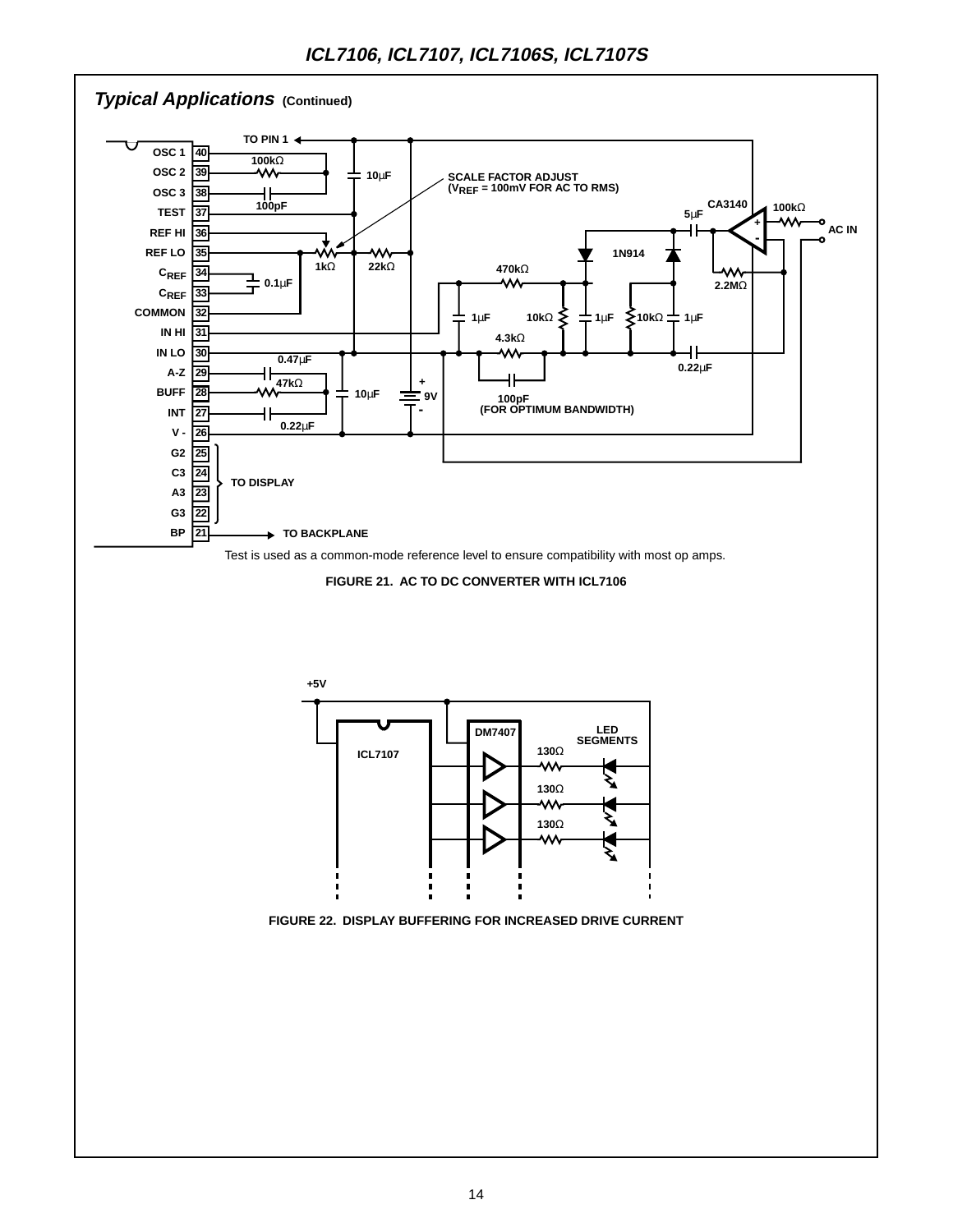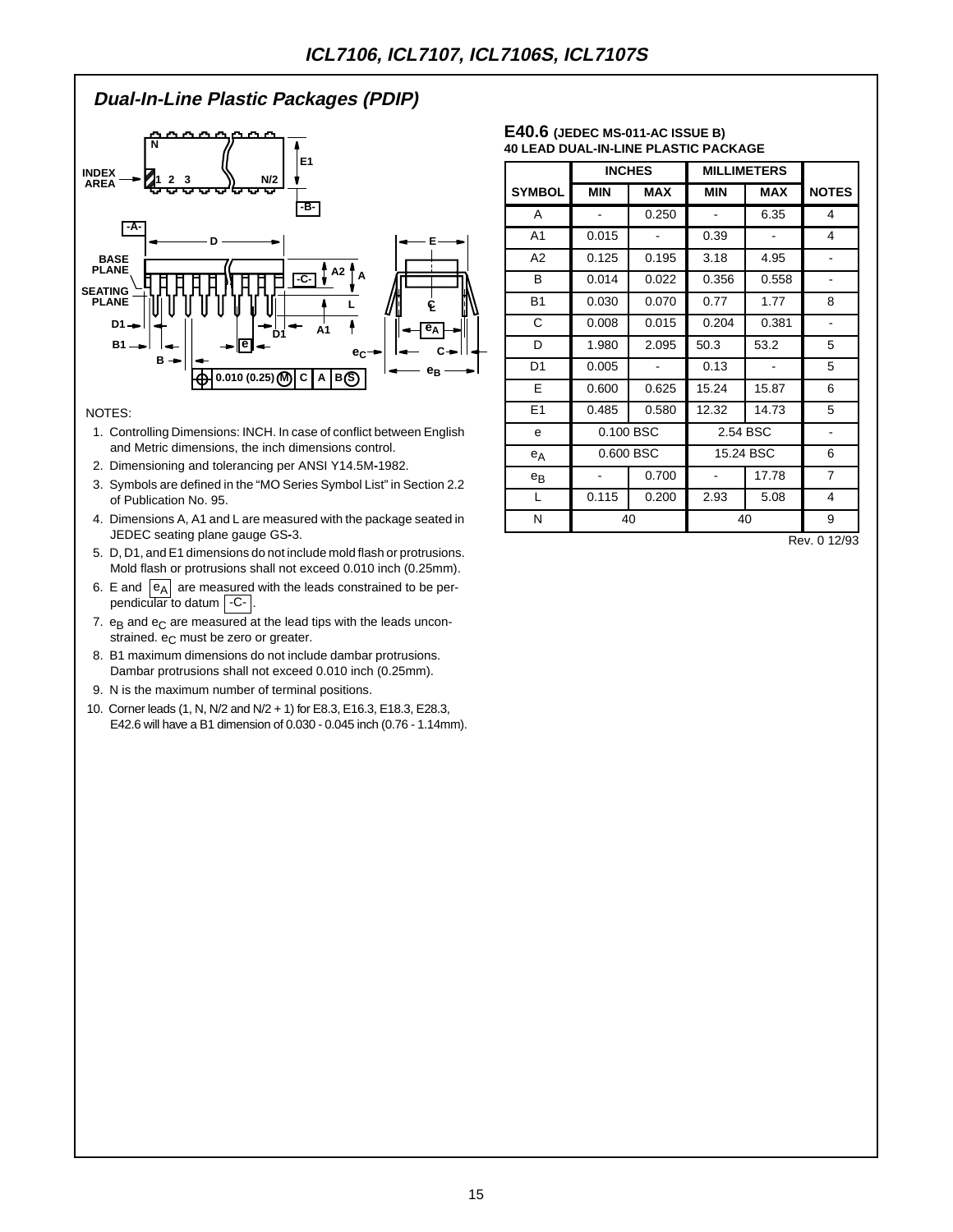# **Dual-In-Line Plastic Packages (PDIP)**



#### NOTES:

- 1. Controlling Dimensions: INCH. In case of conflict between English and Metric dimensions, the inch dimensions control.
- 2. Dimensioning and tolerancing per ANSI Y14.5M**-**1982.
- 3. Symbols are defined in the "MO Series Symbol List" in Section 2.2 of Publication No. 95.
- 4. Dimensions A, A1 and L are measured with the package seated in JEDEC seating plane gauge GS**-**3.
- 5. D, D1, and E1 dimensions do not include mold flash or protrusions. Mold flash or protrusions shall not exceed 0.010 inch (0.25mm).
- 6. E and  $|e_A|$  are measured with the leads constrained to be perpendicular to datum  $\vert$  -C- $\vert$ .
- 7.  $e_B$  and  $e_C$  are measured at the lead tips with the leads unconstrained.  $e_C$  must be zero or greater.
- 8. B1 maximum dimensions do not include dambar protrusions. Dambar protrusions shall not exceed 0.010 inch (0.25mm).
- 9. N is the maximum number of terminal positions.
- 10. Corner leads (1, N, N/2 and N/2 + 1) for E8.3, E16.3, E18.3, E28.3, E42.6 will have a B1 dimension of 0.030 - 0.045 inch (0.76 - 1.14mm).

#### **E40.6 (JEDEC MS-011-AC ISSUE B) 40 LEAD DUAL-IN-LINE PLASTIC PACKAGE**

|                | <b>INCHES</b> |            | <b>MILLIMETERS</b> |            |                |
|----------------|---------------|------------|--------------------|------------|----------------|
| <b>SYMBOL</b>  | <b>MIN</b>    | <b>MAX</b> | <b>MIN</b>         | <b>MAX</b> | <b>NOTES</b>   |
| A              |               | 0.250      |                    | 6.35       | 4              |
| A <sub>1</sub> | 0.015         |            | 0.39               |            | $\overline{4}$ |
| A2             | 0.125         | 0.195      | 3.18               | 4.95       |                |
| B              | 0.014         | 0.022      | 0.356              | 0.558      | -              |
| <b>B1</b>      | 0.030         | 0.070      | 0.77               | 1.77       | 8              |
| C              | 0.008         | 0.015      | 0.204              | 0.381      |                |
| D              | 1.980         | 2.095      | 50.3               | 53.2       | 5              |
| D <sub>1</sub> | 0.005         |            | 0.13               |            | 5              |
| E              | 0.600         | 0.625      | 15.24              | 15.87      | 6              |
| E1             | 0.485         | 0.580      | 12.32              | 14.73      | 5              |
| e              | 0.100 BSC     |            |                    | 2.54 BSC   |                |
| $e_A$          | 0.600 BSC     |            | 15.24 BSC          |            | 6              |
| $e_{B}$        |               | 0.700      |                    | 17.78      | 7              |
| L              | 0.115         | 0.200      | 2.93               | 5.08       | 4              |
| Ν              | 40            |            |                    | 40         | 9              |

Rev. 0 12/93